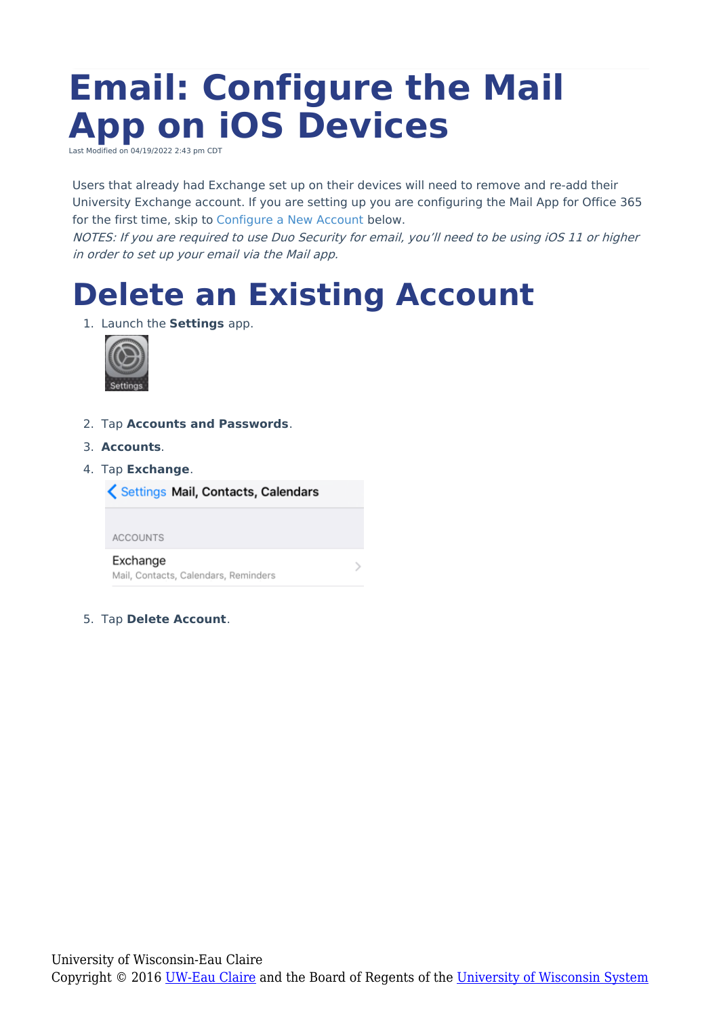# **Email: Configure the Mail App on iOS Devices**

Last Modified on 04/19/2022 2:43 pm CDT

Users that already had Exchange set up on their devices will need to remove and re-add their University Exchange account. If you are setting up you are configuring the Mail App for Office 365 for the first time, skip to [Configure](http://kb.uwec.edu/#Configure) a New Account below.

NOTES: If you are required to use Duo Security for email, you'll need to be using iOS 11 or higher in order to set up your email via the Mail app.

## **Delete an Existing Account**

1. Launch the **Settings** app.



- 2. Tap **Accounts and Passwords**.
- 3. **Accounts**.
- 4. Tap **Exchange**.

Settings Mail, Contacts, Calendars

**ACCOUNTS** 

Exchange Mail, Contacts, Calendars, Reminders

5. Tap **Delete Account**.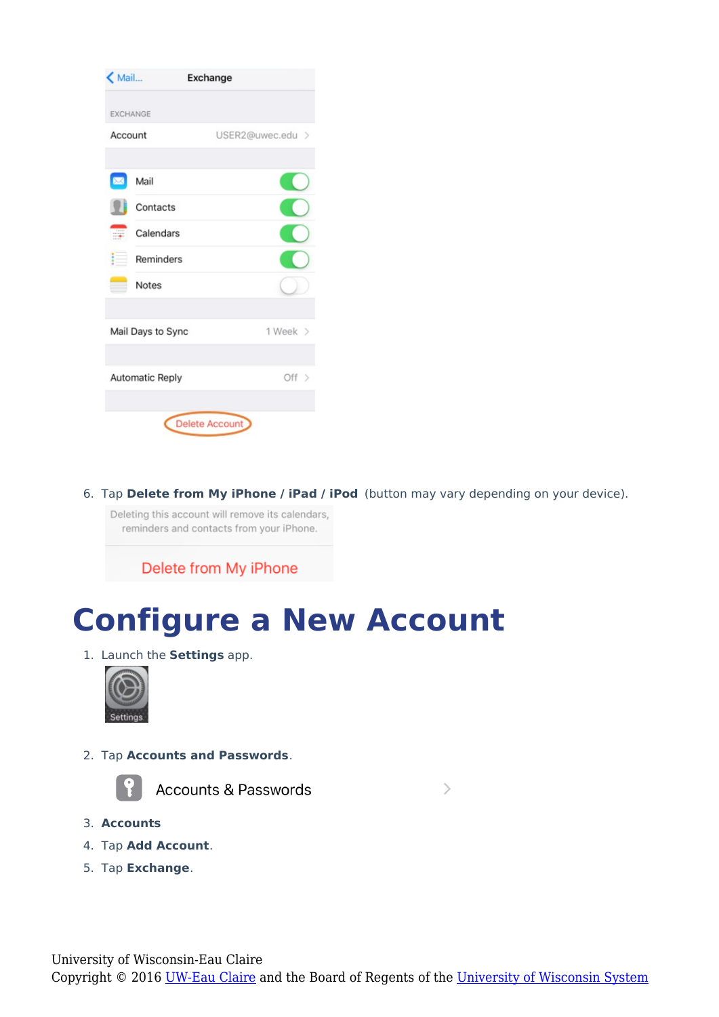| $<$ Mail               |                   | <b>Exchange</b>       |  |
|------------------------|-------------------|-----------------------|--|
| <b>EXCHANGE</b>        |                   |                       |  |
| Account                |                   | USER2@uwec.edu >      |  |
|                        | Mail              |                       |  |
|                        | Contacts          |                       |  |
|                        | Calendars         |                       |  |
|                        | Reminders         |                       |  |
|                        | <b>Notes</b>      |                       |  |
|                        | Mail Days to Sync | 1 Week >              |  |
| <b>Automatic Reply</b> |                   | Off >                 |  |
|                        |                   | <b>Delete Account</b> |  |

6. Tap **Delete from My iPhone / iPad / iPod** (button may vary depending on your device).

Deleting this account will remove its calendars, reminders and contacts from your iPhone.

Delete from My iPhone

### **Configure a New Account**

1. Launch the **Settings** app.



2. Tap **Accounts and Passwords**.



**Accounts & Passwords** 

 $\left\langle \right\rangle$ 

- 3. **Accounts**
- 4. Tap **Add Account**.
- 5. Tap **Exchange**.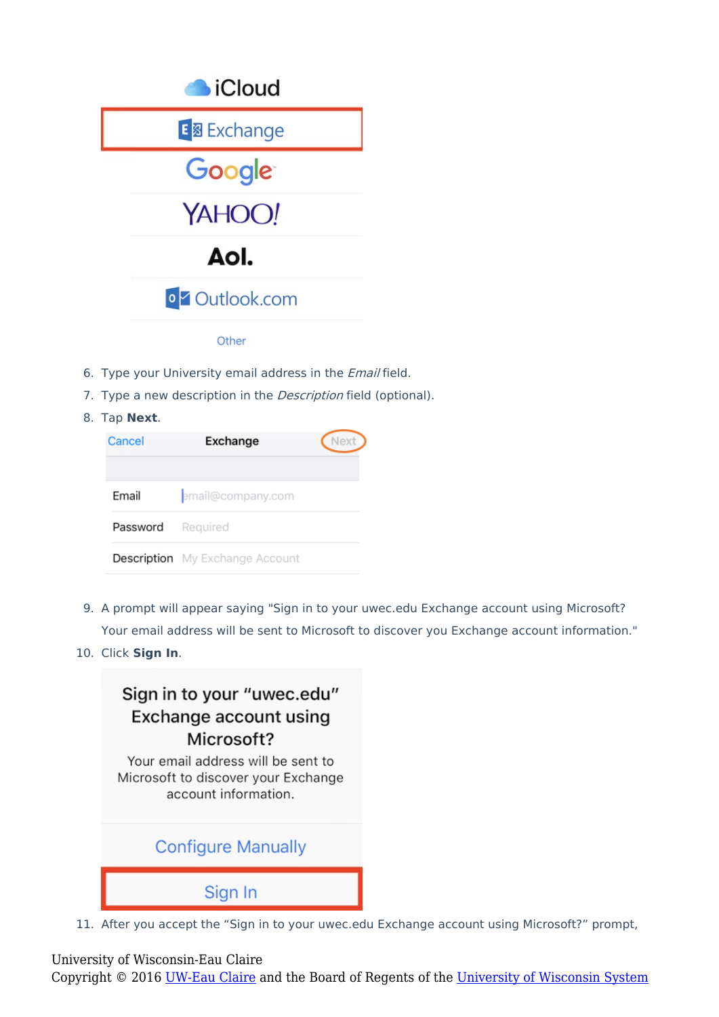

- 6. Type your University email address in the *Email* field.
- 7. Type a new description in the *Description* field (optional).
- 8. Tap **Next**.

| Cancel            | Exchange                               | Next |
|-------------------|----------------------------------------|------|
| Email             | email@company.com                      |      |
| Password Required |                                        |      |
|                   | <b>Description</b> My Exchange Account |      |

- 9. A prompt will appear saying "Sign in to your uwec.edu Exchange account using Microsoft? Your email address will be sent to Microsoft to discover you Exchange account information."
- 10. Click **Sign In**.



11. After you accept the "Sign in to your uwec.edu Exchange account using Microsoft?" prompt,

#### University of Wisconsin-Eau Claire

Copyright © 2016 [UW-Eau Claire](http://www.uwec.edu) and the Board of Regents of the [University of Wisconsin System](http://www.uwsa.edu/)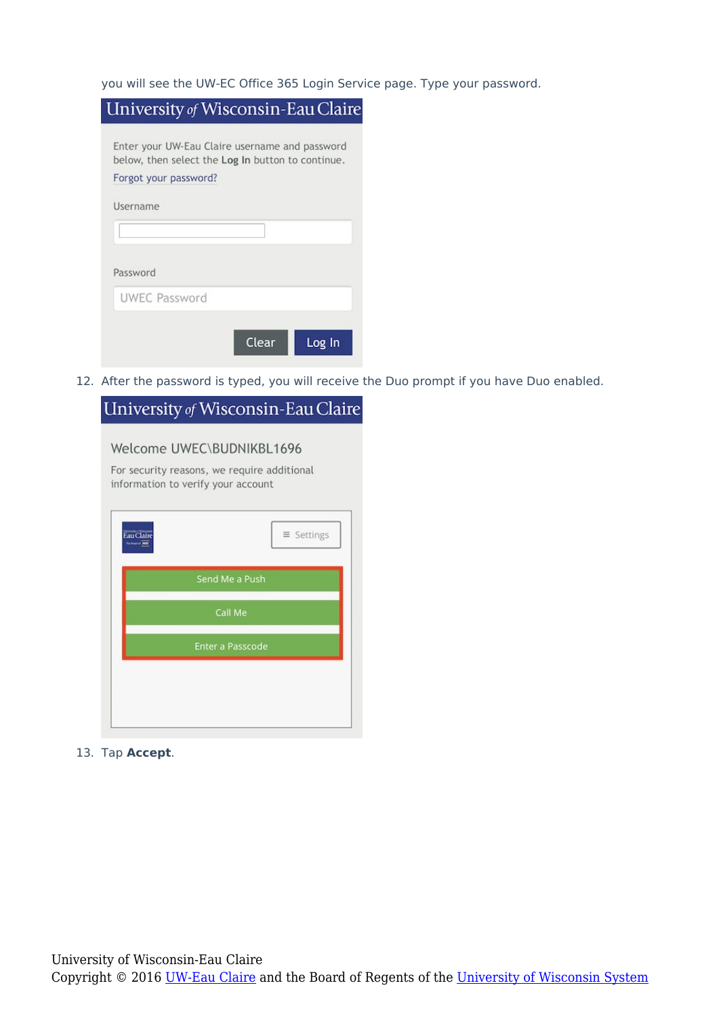you will see the UW-EC Office 365 Login Service page. Type your password.

|                       | University of Wisconsin-Eau Claire                                                                  |
|-----------------------|-----------------------------------------------------------------------------------------------------|
|                       | Enter your UW-Eau Claire username and password<br>below, then select the Log In button to continue. |
| Forgot your password? |                                                                                                     |
| Username              |                                                                                                     |
|                       |                                                                                                     |
| Password              |                                                                                                     |
| <b>UWEC Password</b>  |                                                                                                     |
|                       | Clear<br>Log In                                                                                     |

12. After the password is typed, you will receive the Duo prompt if you have Duo enabled.

| Welcome UWEC\BUDNIKBL1696<br>For security reasons, we require additional<br>information to verify your account<br>$\equiv$ Settings<br>Send Me a Push<br>Call Me |
|------------------------------------------------------------------------------------------------------------------------------------------------------------------|
|                                                                                                                                                                  |
|                                                                                                                                                                  |
|                                                                                                                                                                  |
|                                                                                                                                                                  |
| <b>Enter a Passcode</b>                                                                                                                                          |
|                                                                                                                                                                  |
|                                                                                                                                                                  |

13. Tap **Accept**.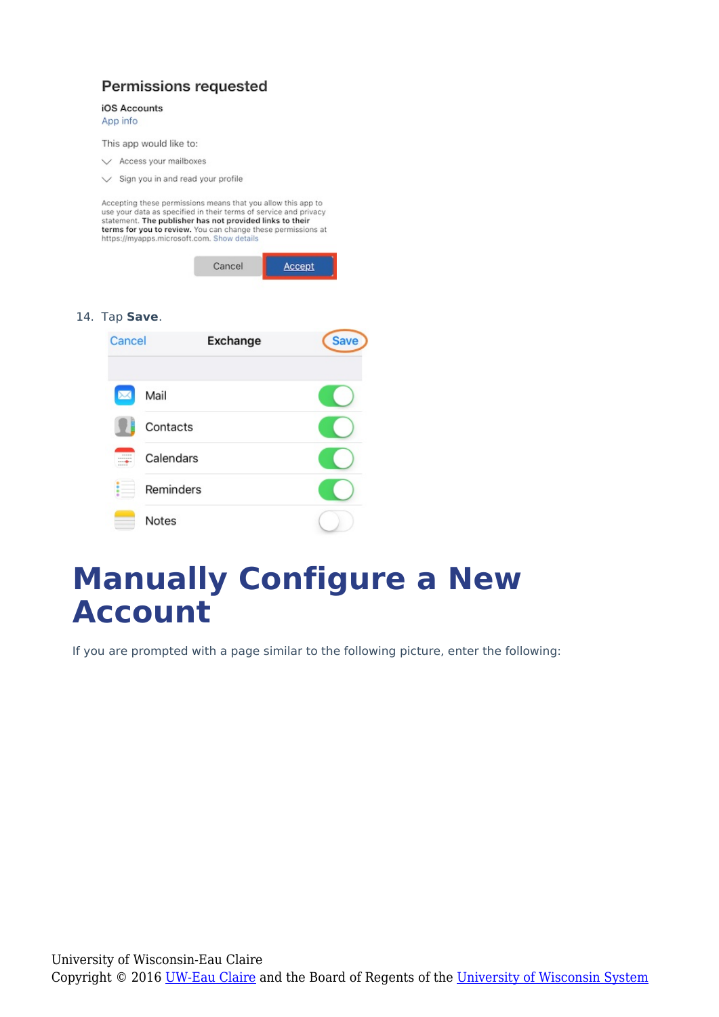#### Permissions requested

#### iOS Accounts

App info

This app would like to:

- $\vee$  Access your mailboxes
- $\vee$  Sign you in and read your profile

Accepting these permissions means that you allow this app to use your data as specified in their terms of service and privacy<br>statement. The publisher has not provided links to their stationary. The publishers has not provided miss to them<br>terms for you to review. You can change these permissions at<br>https://myapps.microsoft.com. Show details

| Cancel | Accept |
|--------|--------|
|        |        |

#### 14. Tap **Save**.



### **Manually Configure a New Account**

If you are prompted with a page similar to the following picture, enter the following: